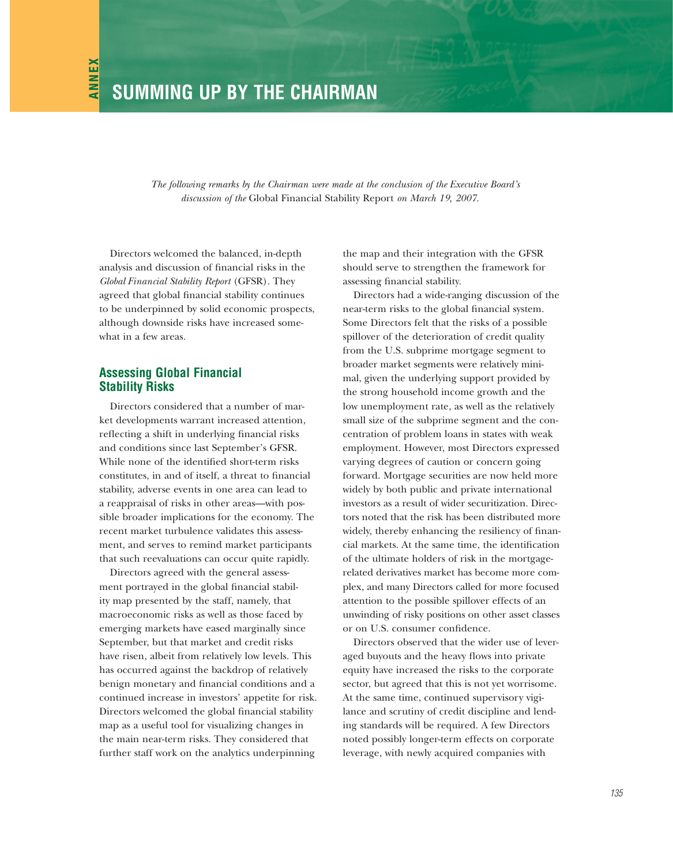## **SUMMING UP BY THE CHAIRMAN BY THE**

*The following remarks by the Chairman were made at the conclusion of the Executive Board's discussion of the* Global Financial Stability Report *on March 19, 2007.*

Directors welcomed the balanced, in-depth analysis and discussion of financial risks in the *Global Financial Stability Report* (GFSR). They agreed that global financial stability continues to be underpinned by solid economic prospects, although downside risks have increased somewhat in a few areas.

## **Assessing Global Financial Stability Risks**

Directors considered that a number of market developments warrant increased attention, reflecting a shift in underlying financial risks and conditions since last September's GFSR. While none of the identified short-term risks constitutes, in and of itself, a threat to financial stability, adverse events in one area can lead to a reappraisal of risks in other areas—with possible broader implications for the economy. The recent market turbulence validates this assessment, and serves to remind market participants that such reevaluations can occur quite rapidly.

Directors agreed with the general assessment portrayed in the global financial stability map presented by the staff, namely, that macroeconomic risks as well as those faced by emerging markets have eased marginally since September, but that market and credit risks have risen, albeit from relatively low levels. This has occurred against the backdrop of relatively benign monetary and financial conditions and a continued increase in investors' appetite for risk. Directors welcomed the global financial stability map as a useful tool for visualizing changes in the main near-term risks. They considered that further staff work on the analytics underpinning

the map and their integration with the GFSR should serve to strengthen the framework for assessing financial stability.

Directors had a wide-ranging discussion of the near-term risks to the global financial system. Some Directors felt that the risks of a possible spillover of the deterioration of credit quality from the U.S. subprime mortgage segment to broader market segments were relatively minimal, given the underlying support provided by the strong household income growth and the low unemployment rate, as well as the relatively small size of the subprime segment and the concentration of problem loans in states with weak employment. However, most Directors expressed varying degrees of caution or concern going forward. Mortgage securities are now held more widely by both public and private international investors as a result of wider securitization. Directors noted that the risk has been distributed more widely, thereby enhancing the resiliency of financial markets. At the same time, the identification of the ultimate holders of risk in the mortgagerelated derivatives market has become more complex, and many Directors called for more focused attention to the possible spillover effects of an unwinding of risky positions on other asset classes or on U.S. consumer confidence.

Directors observed that the wider use of leveraged buyouts and the heavy flows into private equity have increased the risks to the corporate sector, but agreed that this is not yet worrisome. At the same time, continued supervisory vigilance and scrutiny of credit discipline and lending standards will be required. A few Directors noted possibly longer-term effects on corporate leverage, with newly acquired companies with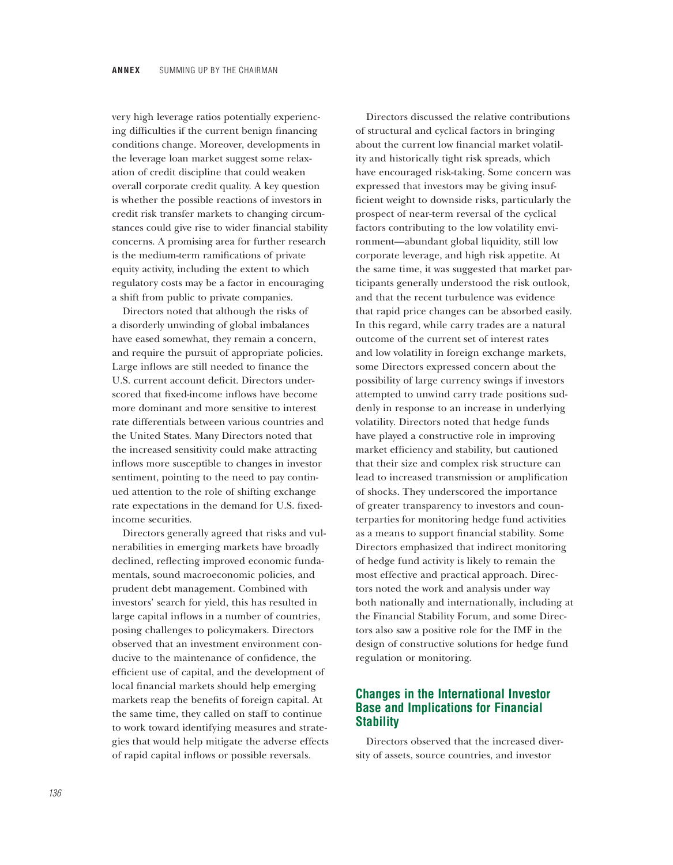very high leverage ratios potentially experiencing difficulties if the current benign financing conditions change. Moreover, developments in the leverage loan market suggest some relaxation of credit discipline that could weaken overall corporate credit quality. A key question is whether the possible reactions of investors in credit risk transfer markets to changing circumstances could give rise to wider financial stability concerns. A promising area for further research is the medium-term ramifications of private equity activity, including the extent to which regulatory costs may be a factor in encouraging a shift from public to private companies.

Directors noted that although the risks of a disorderly unwinding of global imbalances have eased somewhat, they remain a concern, and require the pursuit of appropriate policies. Large inflows are still needed to finance the U.S. current account deficit. Directors underscored that fixed-income inflows have become more dominant and more sensitive to interest rate differentials between various countries and the United States. Many Directors noted that the increased sensitivity could make attracting inflows more susceptible to changes in investor sentiment, pointing to the need to pay continued attention to the role of shifting exchange rate expectations in the demand for U.S. fixedincome securities.

Directors generally agreed that risks and vulnerabilities in emerging markets have broadly declined, reflecting improved economic fundamentals, sound macroeconomic policies, and prudent debt management. Combined with investors' search for yield, this has resulted in large capital inflows in a number of countries, posing challenges to policymakers. Directors observed that an investment environment conducive to the maintenance of confidence, the efficient use of capital, and the development of local financial markets should help emerging markets reap the benefits of foreign capital. At the same time, they called on staff to continue to work toward identifying measures and strategies that would help mitigate the adverse effects of rapid capital inflows or possible reversals.

Directors discussed the relative contributions of structural and cyclical factors in bringing about the current low financial market volatility and historically tight risk spreads, which have encouraged risk-taking. Some concern was expressed that investors may be giving insufficient weight to downside risks, particularly the prospect of near-term reversal of the cyclical factors contributing to the low volatility environment—abundant global liquidity, still low corporate leverage, and high risk appetite. At the same time, it was suggested that market participants generally understood the risk outlook, and that the recent turbulence was evidence that rapid price changes can be absorbed easily. In this regard, while carry trades are a natural outcome of the current set of interest rates and low volatility in foreign exchange markets, some Directors expressed concern about the possibility of large currency swings if investors attempted to unwind carry trade positions suddenly in response to an increase in underlying volatility. Directors noted that hedge funds have played a constructive role in improving market efficiency and stability, but cautioned that their size and complex risk structure can lead to increased transmission or amplification of shocks. They underscored the importance of greater transparency to investors and counterparties for monitoring hedge fund activities as a means to support financial stability. Some Directors emphasized that indirect monitoring of hedge fund activity is likely to remain the most effective and practical approach. Directors noted the work and analysis under way both nationally and internationally, including at the Financial Stability Forum, and some Directors also saw a positive role for the IMF in the design of constructive solutions for hedge fund regulation or monitoring.

## **Changes in the International Investor Base and Implications for Financial Stability**

Directors observed that the increased diversity of assets, source countries, and investor